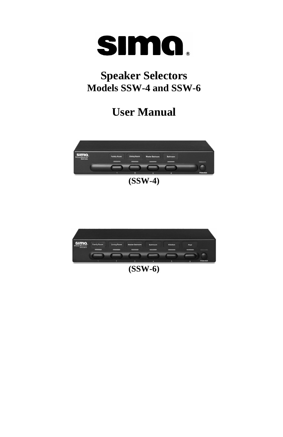

# **Speaker Selectors Models SSW-4 and SSW-6**

# **User Manual**



**(SSW-4)** 



**(SSW-6)**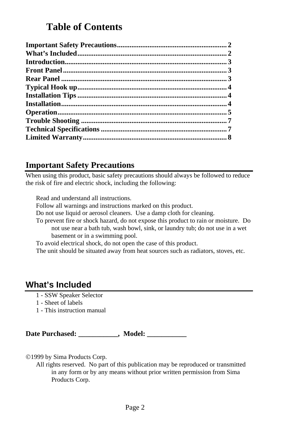## **Table of Contents**

<span id="page-1-0"></span>

### **Important Safety Precautions**

When using this product, basic safety precautions should always be followed to reduce the risk of fire and electric shock, including the following:

Read and understand all instructions.

Follow all warnings and instructions marked on this product.

Do not use liquid or aerosol cleaners. Use a damp cloth for cleaning.

To prevent fire or shock hazard, do not expose this product to rain or moisture. Do not use near a bath tub, wash bowl, sink, or laundry tub; do not use in a wet basement or in a swimming pool.

To avoid electrical shock, do not open the case of this product.

The unit should be situated away from heat sources such as radiators, stoves, etc.

### **What's Included**

- 1 SSW Speaker Selector
- 1 Sheet of labels
- 1 This instruction manual

Date Purchased: \_\_\_\_\_\_\_\_\_\_, Model: \_\_\_\_\_\_\_\_\_

©1999 by Sima Products Corp.

All rights reserved. No part of this publication may be reproduced or transmitted in any form or by any means without prior written permission from Sima Products Corp.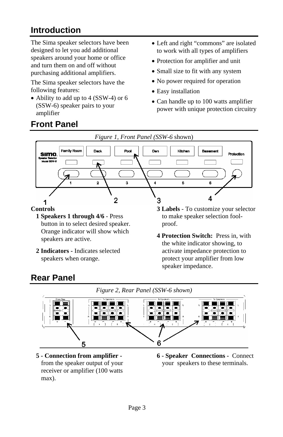# <span id="page-2-0"></span>**Introduction**

The Sima speaker selectors have been designed to let you add additional speakers around your home or office and turn them on and off without purchasing additional amplifiers.

The Sima speaker selectors have the following features:

• Ability to add up to 4 (SSW-4) or 6 (SSW-6) speaker pairs to your amplifier

- Left and right "commons" are isolated to work with all types of amplifiers
- Protection for amplifier and unit
- Small size to fit with any system
- No power required for operation
- Easy installation
- Can handle up to 100 watts amplifier power with unique protection circuitry

# **Front Panel**



**1 Speakers 1 through 4/6** - Press button in to select desired speaker. Orange indicator will show which speakers are active.

- **2 Indicators** Indicates selected speakers when orange.
- **3 Labels** To customize your selector to make speaker selection foolproof.
- **4 Protection Switch:** Press in, with the white indicator showing, to activate impedance protection to protect your amplifier from low speaker impedance.

## **Rear Panel**





- **5 Connection from amplifier**  from the speaker output of your receiver or amplifier (100 watts max).
- **6 Speaker Connections** Connect your speakers to these terminals.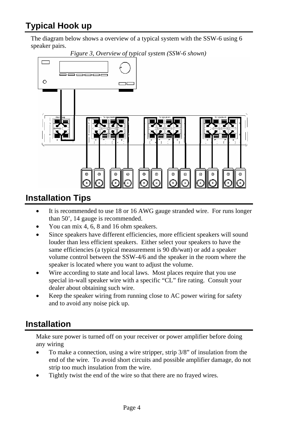## <span id="page-3-0"></span>**Typical Hook up**

The diagram below shows a overview of a typical system with the SSW-6 using 6 speaker pairs.



### **Installation Tips**

- It is recommended to use 18 or 16 AWG gauge stranded wire. For runs longer than 50', 14 gauge is recommended.
- You can mix 4, 6, 8 and 16 ohm speakers.
- Since speakers have different efficiencies, more efficient speakers will sound louder than less efficient speakers. Either select your speakers to have the same efficiencies (a typical measurement is 90 db/watt) or add a speaker volume control between the SSW-4/6 and the speaker in the room where the speaker is located where you want to adjust the volume.
- Wire according to state and local laws. Most places require that you use special in-wall speaker wire with a specific "CL" fire rating. Consult your dealer about obtaining such wire.
- Keep the speaker wiring from running close to AC power wiring for safety and to avoid any noise pick up.

### **Installation**

Make sure power is turned off on your receiver or power amplifier before doing any wiring

- To make a connection, using a wire stripper, strip 3/8" of insulation from the end of the wire. To avoid short circuits and possible amplifier damage, do not strip too much insulation from the wire.
- Tightly twist the end of the wire so that there are no frayed wires.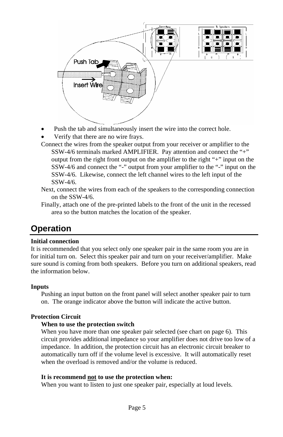<span id="page-4-0"></span>

- Push the tab and simultaneously insert the wire into the correct hole.
- Verify that there are no wire frays.
- Connect the wires from the speaker output from your receiver or amplifier to the SSW-4/6 terminals marked AMPLIFIER. Pay attention and connect the "+" output from the right front output on the amplifier to the right "+" input on the SSW-4/6 and connect the "-" output from your amplifier to the "-" input on the SSW-4/6. Likewise, connect the left channel wires to the left input of the SSW-4/6.
- Next, connect the wires from each of the speakers to the corresponding connection on the SSW-4/6.
- Finally, attach one of the pre-printed labels to the front of the unit in the recessed area so the button matches the location of the speaker.

### **Operation**

#### **Initial connection**

It is recommended that you select only one speaker pair in the same room you are in for initial turn on. Select this speaker pair and turn on your receiver/amplifier. Make sure sound is coming from both speakers. Before you turn on additional speakers, read the information below.

#### **Inputs**

Pushing an input button on the front panel will select another speaker pair to turn on. The orange indicator above the button will indicate the active button.

#### **Protection Circuit**

#### **When to use the protection switch**

When you have more than one speaker pair selected (see chart on page 6). This circuit provides additional impedance so your amplifier does not drive too low of a impedance. In addition, the protection circuit has an electronic circuit breaker to automatically turn off if the volume level is excessive. It will automatically reset when the overload is removed and/or the volume is reduced.

#### **It is recommend not to use the protection when:**

When you want to listen to just one speaker pair, especially at loud levels.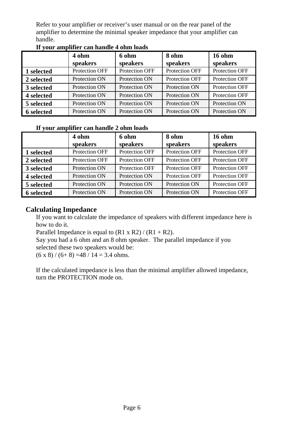Refer to your amplifier or receiver's user manual or on the rear panel of the amplifier to determine the minimal speaker impedance that your amplifier can handle.

|            | 4 ohm          | 6 ohm          | 8 ohm          | $16 \text{ ohm}$ |
|------------|----------------|----------------|----------------|------------------|
|            | speakers       | speakers       | speakers       | speakers         |
| 1 selected | Protection OFF | Protection OFF | Protection OFF | Protection OFF   |
| 2 selected | Protection ON  | Protection ON  | Protection OFF | Protection OFF   |
| 3 selected | Protection ON  | Protection ON  | Protection ON  | Protection OFF   |
| 4 selected | Protection ON  | Protection ON  | Protection ON  | Protection OFF   |
| 5 selected | Protection ON  | Protection ON  | Protection ON  | Protection ON    |
| 6 selected | Protection ON  | Protection ON  | Protection ON  | Protection ON    |

#### **If your amplifier can handle 4 ohm loads**

#### **If your amplifier can handle 2 ohm loads**

|                   | 4 ohm          | 6 ohm                 | 8 ohm                 | $16 \text{ ohm}$ |
|-------------------|----------------|-----------------------|-----------------------|------------------|
|                   | speakers       | speakers              | speakers              | speakers         |
| 1 selected        | Protection OFF | Protection OFF        | Protection OFF        | Protection OFF   |
| 2 selected        | Protection OFF | <b>Protection OFF</b> | <b>Protection OFF</b> | Protection OFF   |
| 3 selected        | Protection ON  | Protection OFF        | Protection OFF        | Protection OFF   |
| 4 selected        | Protection ON  | Protection ON         | Protection OFF        | Protection OFF   |
| 5 selected        | Protection ON  | Protection ON         | Protection ON         | Protection OFF   |
| <b>6</b> selected | Protection ON  | Protection ON         | Protection ON         | Protection OFF   |

#### **Calculating Impedance**

If you want to calculate the impedance of speakers with different impedance here is how to do it.

Parallel Impedance is equal to  $(R1 \times R2) / (R1 + R2)$ .

Say you had a 6 ohm and an 8 ohm speaker. The parallel impedance if you selected these two speakers would be:

 $(6 \times 8) / (6 + 8) = 48 / 14 = 3.4$  ohms.

If the calculated impedance is less than the minimal amplifier allowed impedance, turn the PROTECTION mode on.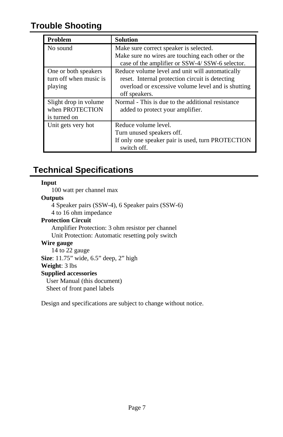### <span id="page-6-0"></span>**Trouble Shooting**

| Problem                | <b>Solution</b>                                                                                     |
|------------------------|-----------------------------------------------------------------------------------------------------|
| No sound               | Make sure correct speaker is selected.                                                              |
|                        | Make sure no wires are touching each other or the<br>case of the amplifier or SSW-4/SSW-6 selector. |
| One or both speakers   | Reduce volume level and unit will automatically                                                     |
| turn off when music is | reset. Internal protection circuit is detecting                                                     |
| playing                | overload or excessive volume level and is shutting                                                  |
|                        | off speakers.                                                                                       |
| Slight drop in volume  | Normal - This is due to the additional resistance                                                   |
| when PROTECTION        | added to protect your amplifier.                                                                    |
| is turned on           |                                                                                                     |
| Unit gets very hot     | Reduce volume level.                                                                                |
|                        | Turn unused speakers off.                                                                           |
|                        | If only one speaker pair is used, turn PROTECTION<br>switch off.                                    |

### **Technical Specifications**

#### **Input**

100 watt per channel max

#### **Outputs**

4 Speaker pairs (SSW-4), 6 Speaker pairs (SSW-6)

4 to 16 ohm impedance

#### **Protection Circuit**

Amplifier Protection: 3 ohm resistor per channel Unit Protection: Automatic resetting poly switch

#### **Wire gauge**

14 to 22 gauge **Size**: 11.75" wide, 6.5" deep, 2" high **Weight**: 3 lbs

### **Supplied accessories**

User Manual (this document) Sheet of front panel labels

Design and specifications are subject to change without notice.